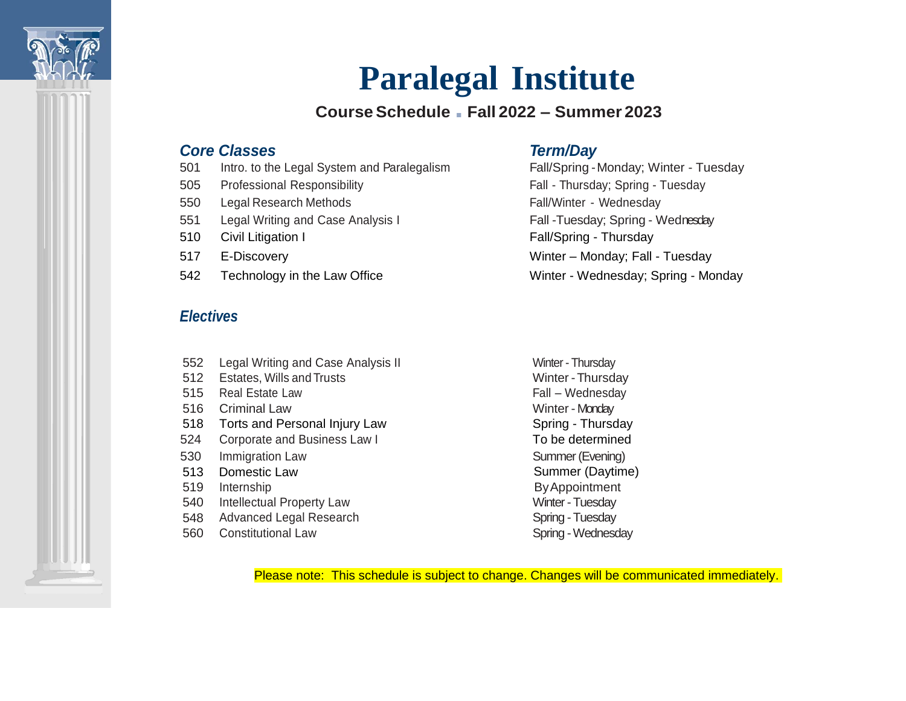

# **Paralegal Institute**

# **CourseSchedule** ■ **Fall 2022 – Summer 2023**

# *Core Classes Term/Day*

- 501 Intro. to the Legal System and Paralegalism Fall/Spring -Monday; Winter Tuesday
- 505 Professional Responsibility Fall Thursday; Spring Tuesday
- 550 Legal Research Methods **Fall/Winter Wednesday**
- 551 Legal Writing and Case Analysis I Fall -Tuesday; Spring Wednesday
- 
- 
- 

# *Electives*

- 552 Legal Writing and Case Analysis II Winter Thursday
- 512 Estates, Wills and Trusts Winter -Thursday
- 515 Real Estate Law **Fall Wednesday** Fall Wednesday
- 516 Criminal Law Winter Monday
- 518 Torts and Personal Injury Law Spring Thursday
- 524 Corporate and Business Law I To be determined
- 530 Immigration Law Summer (Evening)
- 
- 
- 540 Intellectual Property Law Minter Tuesday
- 548 Advanced Legal Research Spring Tuesday
- 560 Constitutional Law Spring Wednesday

510 Civil Litigation I **Fall/Spring - Thursday** 517 E-Discovery Winter – Monday; Fall - Tuesday 542 Technology in the Law Office New Allen Structure Winter - Wednesday; Spring - Monday

513 Domestic Law Summer (Daytime) 519 Internship **ByAppointment** 

Please note: This schedule is subject to change. Changes will be communicated immediately.